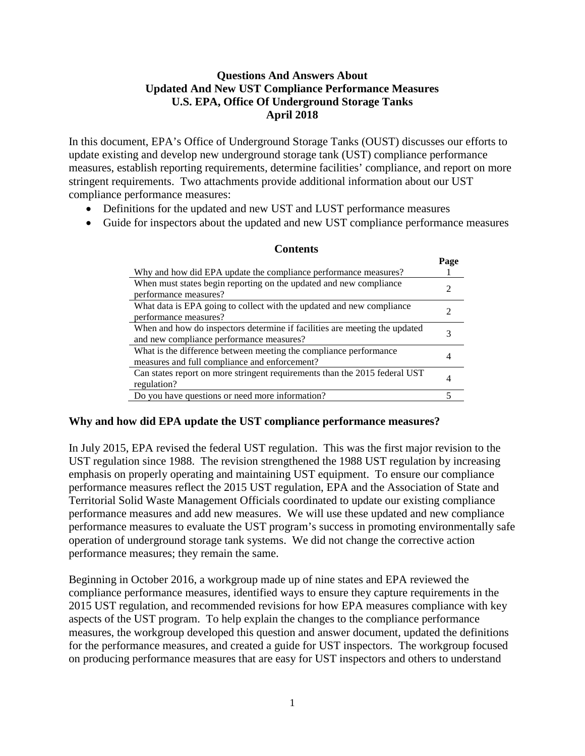# **Questions And Answers About Updated And New UST Compliance Performance Measures U.S. EPA, Office Of Underground Storage Tanks April 2018**

In this document, EPA's Office of Underground Storage Tanks (OUST) discusses our efforts to update existing and develop new underground storage tank (UST) compliance performance measures, establish reporting requirements, determine facilities' compliance, and report on more stringent requirements. Two attachments provide additional information about our UST compliance performance measures:

- Definitions for the updated and new UST and LUST performance measures
- Guide for inspectors about the updated and new UST compliance performance measures

|                                                                            | Page |
|----------------------------------------------------------------------------|------|
| Why and how did EPA update the compliance performance measures?            |      |
| When must states begin reporting on the updated and new compliance         |      |
| performance measures?                                                      |      |
| What data is EPA going to collect with the updated and new compliance      |      |
| performance measures?                                                      |      |
| When and how do inspectors determine if facilities are meeting the updated |      |
| and new compliance performance measures?                                   |      |
| What is the difference between meeting the compliance performance          |      |
| measures and full compliance and enforcement?                              |      |
| Can states report on more stringent requirements than the 2015 federal UST |      |
| regulation?                                                                |      |
| Do you have questions or need more information?                            |      |

#### **Contents**

# **Why and how did EPA update the UST compliance performance measures?**

In July 2015, EPA revised the federal UST regulation. This was the first major revision to the UST regulation since 1988. The revision strengthened the 1988 UST regulation by increasing emphasis on properly operating and maintaining UST equipment. To ensure our compliance performance measures reflect the 2015 UST regulation, EPA and the Association of State and Territorial Solid Waste Management Officials coordinated to update our existing compliance performance measures and add new measures. We will use these updated and new compliance performance measures to evaluate the UST program's success in promoting environmentally safe operation of underground storage tank systems. We did not change the corrective action performance measures; they remain the same.

Beginning in October 2016, a workgroup made up of nine states and EPA reviewed the compliance performance measures, identified ways to ensure they capture requirements in the 2015 UST regulation, and recommended revisions for how EPA measures compliance with key aspects of the UST program. To help explain the changes to the compliance performance measures, the workgroup developed this question and answer document, updated the definitions for the performance measures, and created a guide for UST inspectors. The workgroup focused on producing performance measures that are easy for UST inspectors and others to understand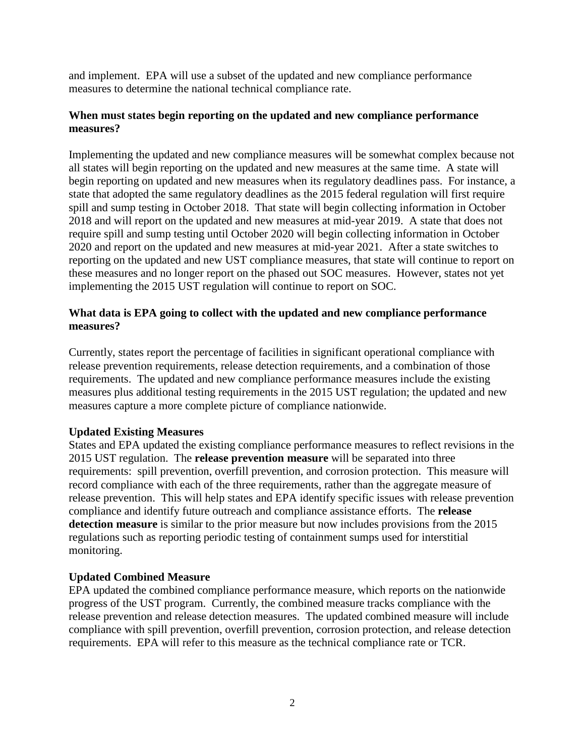and implement. EPA will use a subset of the updated and new compliance performance measures to determine the national technical compliance rate.

### **When must states begin reporting on the updated and new compliance performance measures?**

Implementing the updated and new compliance measures will be somewhat complex because not all states will begin reporting on the updated and new measures at the same time. A state will begin reporting on updated and new measures when its regulatory deadlines pass. For instance, a state that adopted the same regulatory deadlines as the 2015 federal regulation will first require spill and sump testing in October 2018. That state will begin collecting information in October 2018 and will report on the updated and new measures at mid-year 2019. A state that does not require spill and sump testing until October 2020 will begin collecting information in October 2020 and report on the updated and new measures at mid-year 2021. After a state switches to reporting on the updated and new UST compliance measures, that state will continue to report on these measures and no longer report on the phased out SOC measures. However, states not yet implementing the 2015 UST regulation will continue to report on SOC.

### **What data is EPA going to collect with the updated and new compliance performance measures?**

Currently, states report the percentage of facilities in significant operational compliance with release prevention requirements, release detection requirements, and a combination of those requirements. The updated and new compliance performance measures include the existing measures plus additional testing requirements in the 2015 UST regulation; the updated and new measures capture a more complete picture of compliance nationwide.

# **Updated Existing Measures**

States and EPA updated the existing compliance performance measures to reflect revisions in the 2015 UST regulation. The **release prevention measure** will be separated into three requirements: spill prevention, overfill prevention, and corrosion protection. This measure will record compliance with each of the three requirements, rather than the aggregate measure of release prevention. This will help states and EPA identify specific issues with release prevention compliance and identify future outreach and compliance assistance efforts. The **release detection measure** is similar to the prior measure but now includes provisions from the 2015 regulations such as reporting periodic testing of containment sumps used for interstitial monitoring.

# **Updated Combined Measure**

EPA updated the combined compliance performance measure, which reports on the nationwide progress of the UST program. Currently, the combined measure tracks compliance with the release prevention and release detection measures. The updated combined measure will include compliance with spill prevention, overfill prevention, corrosion protection, and release detection requirements. EPA will refer to this measure as the technical compliance rate or TCR.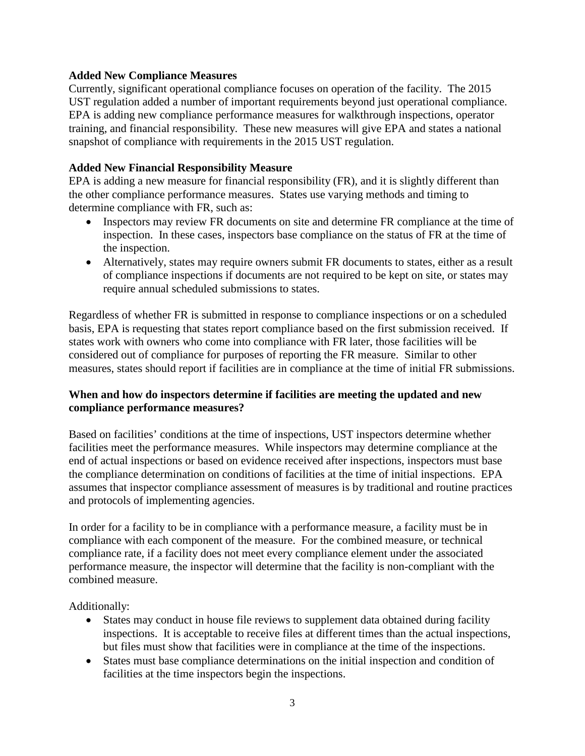### **Added New Compliance Measures**

Currently, significant operational compliance focuses on operation of the facility. The 2015 UST regulation added a number of important requirements beyond just operational compliance. EPA is adding new compliance performance measures for walkthrough inspections, operator training, and financial responsibility. These new measures will give EPA and states a national snapshot of compliance with requirements in the 2015 UST regulation.

### **Added New Financial Responsibility Measure**

EPA is adding a new measure for financial responsibility (FR), and it is slightly different than the other compliance performance measures. States use varying methods and timing to determine compliance with FR, such as:

- Inspectors may review FR documents on site and determine FR compliance at the time of inspection. In these cases, inspectors base compliance on the status of FR at the time of the inspection.
- Alternatively, states may require owners submit FR documents to states, either as a result of compliance inspections if documents are not required to be kept on site, or states may require annual scheduled submissions to states.

Regardless of whether FR is submitted in response to compliance inspections or on a scheduled basis, EPA is requesting that states report compliance based on the first submission received. If states work with owners who come into compliance with FR later, those facilities will be considered out of compliance for purposes of reporting the FR measure. Similar to other measures, states should report if facilities are in compliance at the time of initial FR submissions.

# **When and how do inspectors determine if facilities are meeting the updated and new compliance performance measures?**

Based on facilities' conditions at the time of inspections, UST inspectors determine whether facilities meet the performance measures. While inspectors may determine compliance at the end of actual inspections or based on evidence received after inspections, inspectors must base the compliance determination on conditions of facilities at the time of initial inspections. EPA assumes that inspector compliance assessment of measures is by traditional and routine practices and protocols of implementing agencies.

In order for a facility to be in compliance with a performance measure, a facility must be in compliance with each component of the measure. For the combined measure, or technical compliance rate, if a facility does not meet every compliance element under the associated performance measure, the inspector will determine that the facility is non-compliant with the combined measure.

Additionally:

- States may conduct in house file reviews to supplement data obtained during facility inspections. It is acceptable to receive files at different times than the actual inspections, but files must show that facilities were in compliance at the time of the inspections.
- States must base compliance determinations on the initial inspection and condition of facilities at the time inspectors begin the inspections.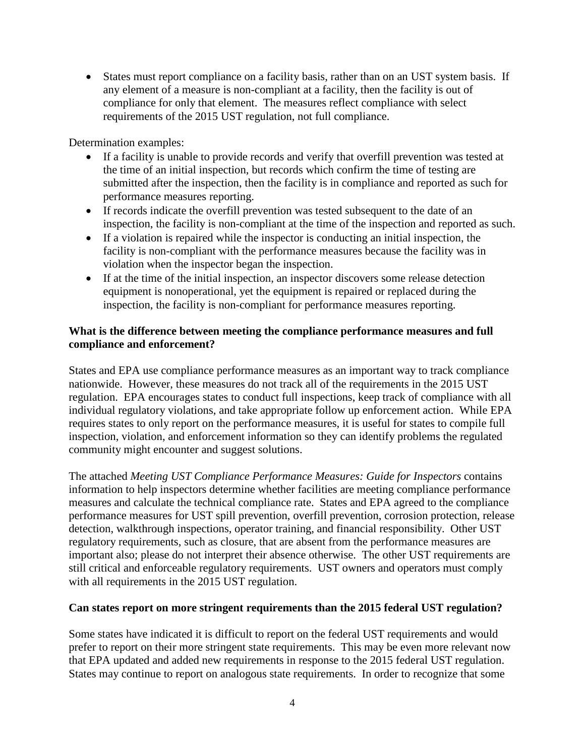• States must report compliance on a facility basis, rather than on an UST system basis. If any element of a measure is non-compliant at a facility, then the facility is out of compliance for only that element. The measures reflect compliance with select requirements of the 2015 UST regulation, not full compliance.

Determination examples:

- If a facility is unable to provide records and verify that overfill prevention was tested at the time of an initial inspection, but records which confirm the time of testing are submitted after the inspection, then the facility is in compliance and reported as such for performance measures reporting.
- If records indicate the overfill prevention was tested subsequent to the date of an inspection, the facility is non-compliant at the time of the inspection and reported as such.
- If a violation is repaired while the inspector is conducting an initial inspection, the facility is non-compliant with the performance measures because the facility was in violation when the inspector began the inspection.
- If at the time of the initial inspection, an inspector discovers some release detection equipment is nonoperational, yet the equipment is repaired or replaced during the inspection, the facility is non-compliant for performance measures reporting.

### **What is the difference between meeting the compliance performance measures and full compliance and enforcement?**

States and EPA use compliance performance measures as an important way to track compliance nationwide. However, these measures do not track all of the requirements in the 2015 UST regulation. EPA encourages states to conduct full inspections, keep track of compliance with all individual regulatory violations, and take appropriate follow up enforcement action. While EPA requires states to only report on the performance measures, it is useful for states to compile full inspection, violation, and enforcement information so they can identify problems the regulated community might encounter and suggest solutions.

The attached *Meeting UST Compliance Performance Measures: Guide for Inspectors* contains information to help inspectors determine whether facilities are meeting compliance performance measures and calculate the technical compliance rate. States and EPA agreed to the compliance performance measures for UST spill prevention, overfill prevention, corrosion protection, release detection, walkthrough inspections, operator training, and financial responsibility. Other UST regulatory requirements, such as closure, that are absent from the performance measures are important also; please do not interpret their absence otherwise. The other UST requirements are still critical and enforceable regulatory requirements. UST owners and operators must comply with all requirements in the 2015 UST regulation.

#### **Can states report on more stringent requirements than the 2015 federal UST regulation?**

Some states have indicated it is difficult to report on the federal UST requirements and would prefer to report on their more stringent state requirements. This may be even more relevant now that EPA updated and added new requirements in response to the 2015 federal UST regulation. States may continue to report on analogous state requirements. In order to recognize that some